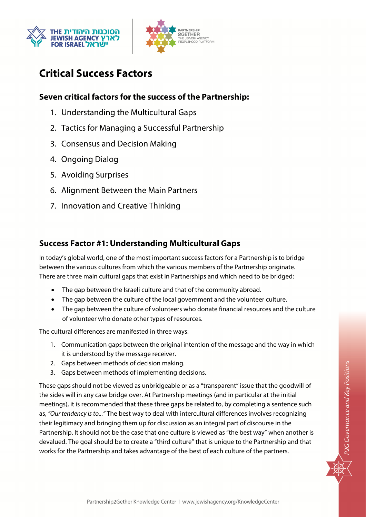



# **Critical Success Factors**

# **Seven critical factors for the success of the Partnership:**

- 1. Understanding the Multicultural Gaps
- 2. Tactics for Managing a Successful Partnership
- 3. Consensus and Decision Making
- 4. Ongoing Dialog
- 5. Avoiding Surprises
- 6. Alignment Between the Main Partners
- 7. Innovation and Creative Thinking

# **Success Factor #1: Understanding Multicultural Gaps**

In today's global world, one of the most important success factors for a Partnership is to bridge between the various cultures from which the various members of the Partnership originate. There are three main cultural gaps that exist in Partnerships and which need to be bridged:

- The gap between the Israeli culture and that of the community abroad.
- The gap between the culture of the local government and the volunteer culture.
- The gap between the culture of volunteers who donate financial resources and the culture of volunteer who donate other types of resources.

The cultural differences are manifested in three ways:

- 1. Communication gaps between the original intention of the message and the way in which it is understood by the message receiver.
- 2. Gaps between methods of decision making.
- 3. Gaps between methods of implementing decisions.

These gaps should not be viewed as unbridgeable or as a "transparent" issue that the goodwill of the sides will in any case bridge over. At Partnership meetings (and in particular at the initial meetings), it is recommended that these three gaps be related to, by completing a sentence such as, "Our tendency is to..." The best way to deal with intercultural differences involves recognizing their legitimacy and bringing them up for discussion as an integral part of discourse in the Partnership. It should not be the case that one culture is viewed as "the best way" when another is devalued. The goal should be to create a "third culture" that is unique to the Partnership and that works for the Partnership and takes advantage of the best of each culture of the partners.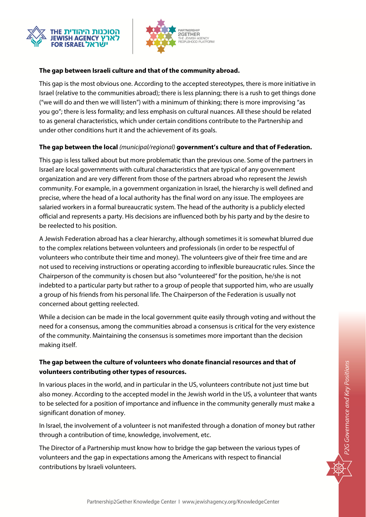



#### **The gap between Israeli culture and that of the community abroad.**

This gap is the most obvious one. According to the accepted stereotypes, there is more initiative in Israel (relative to the communities abroad); there is less planning; there is a rush to get things done ("we will do and then we will listen") with a minimum of thinking; there is more improvising "as you go"; there is less formality; and less emphasis on cultural nuances. All these should be related to as general characteristics, which under certain conditions contribute to the Partnership and under other conditions hurt it and the achievement of its goals.

#### **The gap between the local** (municipal/regional) **government's culture and that of Federation.**

This gap is less talked about but more problematic than the previous one. Some of the partners in Israel are local governments with cultural characteristics that are typical of any government organization and are very different from those of the partners abroad who represent the Jewish community. For example, in a government organization in Israel, the hierarchy is well defined and precise, where the head of a local authority has the final word on any issue. The employees are salaried workers in a formal bureaucratic system. The head of the authority is a publicly elected official and represents a party. His decisions are influenced both by his party and by the desire to be reelected to his position.

A Jewish Federation abroad has a clear hierarchy, although sometimes it is somewhat blurred due to the complex relations between volunteers and professionals (in order to be respectful of volunteers who contribute their time and money). The volunteers give of their free time and are not used to receiving instructions or operating according to inflexible bureaucratic rules. Since the Chairperson of the community is chosen but also "volunteered" for the position, he/she is not indebted to a particular party but rather to a group of people that supported him, who are usually a group of his friends from his personal life. The Chairperson of the Federation is usually not concerned about getting reelected.

While a decision can be made in the local government quite easily through voting and without the need for a consensus, among the communities abroad a consensus is critical for the very existence of the community. Maintaining the consensus is sometimes more important than the decision making itself.

#### **The gap between the culture of volunteers who donate financial resources and that of volunteers contributing other types of resources.**

In various places in the world, and in particular in the US, volunteers contribute not just time but also money. According to the accepted model in the Jewish world in the US, a volunteer that wants to be selected for a position of importance and influence in the community generally must make a significant donation of money.

In Israel, the involvement of a volunteer is not manifested through a donation of money but rather through a contribution of time, knowledge, involvement, etc.

The Director of a Partnership must know how to bridge the gap between the various types of volunteers and the gap in expectations among the Americans with respect to financial contributions by Israeli volunteers.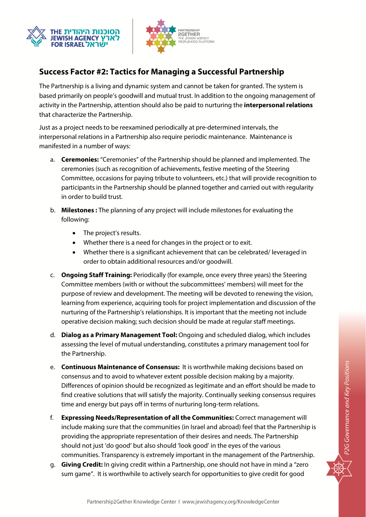



# **Success Factor #2: Tactics for Managing a Successful Partnership**

The Partnership is a living and dynamic system and cannot be taken for granted. The system is based primarily on people's goodwill and mutual trust. In addition to the ongoing management of activity in the Partnership, attention should also be paid to nurturing the **interpersonal relations** that characterize the Partnership.

Just as a project needs to be reexamined periodically at pre-determined intervals, the interpersonal relations in a Partnership also require periodic maintenance. Maintenance is manifested in a number of ways:

- a. **Ceremonies:** "Ceremonies" of the Partnership should be planned and implemented. The ceremonies (such as recognition of achievements, festive meeting of the Steering Committee, occasions for paying tribute to volunteers, etc.) that will provide recognition to participants in the Partnership should be planned together and carried out with regularity in order to build trust.
- b. **Milestones :** The planning of any project will include milestones for evaluating the following:
	- The project's results.
	- Whether there is a need for changes in the project or to exit.
	- Whether there is a significant achievement that can be celebrated/ leveraged in order to obtain additional resources and/or goodwill.
- c. **Ongoing Staff Training:** Periodically (for example, once every three years) the Steering Committee members (with or without the subcommittees' members) will meet for the purpose of review and development. The meeting will be devoted to renewing the vision, learning from experience, acquiring tools for project implementation and discussion of the nurturing of the Partnership's relationships. It is important that the meeting not include operative decision making; such decision should be made at regular staff meetings.
- d. **Dialog as a Primary Management Tool:** Ongoing and scheduled dialog, which includes assessing the level of mutual understanding, constitutes a primary management tool for the Partnership.
- e. **Continuous Maintenance of Consensus:** It is worthwhile making decisions based on consensus and to avoid to whatever extent possible decision making by a majority. Differences of opinion should be recognized as legitimate and an effort should be made to find creative solutions that will satisfy the majority. Continually seeking consensus requires time and energy but pays off in terms of nurturing long-term relations.
- f. **Expressing Needs/Representation of all the Communities:** Correct management will include making sure that the communities (in Israel and abroad) feel that the Partnership is providing the appropriate representation of their desires and needs. The Partnership should not just 'do good' but also should 'look good' in the eyes of the various communities. Transparency is extremely important in the management of the Partnership.
- g. **Giving Credit:** In giving credit within a Partnership, one should not have in mind a "zero sum game". It is worthwhile to actively search for opportunities to give credit for good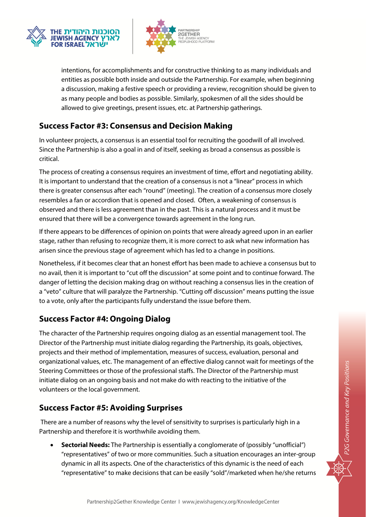



intentions, for accomplishments and for constructive thinking to as many individuals and entities as possible both inside and outside the Partnership. For example, when beginning a discussion, making a festive speech or providing a review, recognition should be given to as many people and bodies as possible. Similarly, spokesmen of all the sides should be allowed to give greetings, present issues, etc. at Partnership gatherings.

### **Success Factor #3: Consensus and Decision Making**

In volunteer projects, a consensus is an essential tool for recruiting the goodwill of all involved. Since the Partnership is also a goal in and of itself, seeking as broad a consensus as possible is critical.

The process of creating a consensus requires an investment of time, effort and negotiating ability. It is important to understand that the creation of a consensus is not a "linear" process in which there is greater consensus after each "round" (meeting). The creation of a consensus more closely resembles a fan or accordion that is opened and closed. Often, a weakening of consensus is observed and there is less agreement than in the past. This is a natural process and it must be ensured that there will be a convergence towards agreement in the long run.

If there appears to be differences of opinion on points that were already agreed upon in an earlier stage, rather than refusing to recognize them, it is more correct to ask what new information has arisen since the previous stage of agreement which has led to a change in positions.

Nonetheless, if it becomes clear that an honest effort has been made to achieve a consensus but to no avail, then it is important to "cut off the discussion" at some point and to continue forward. The danger of letting the decision making drag on without reaching a consensus lies in the creation of a "veto" culture that will paralyze the Partnership. "Cutting off discussion" means putting the issue to a vote, only after the participants fully understand the issue before them.

## **Success Factor #4: Ongoing Dialog**

The character of the Partnership requires ongoing dialog as an essential management tool. The Director of the Partnership must initiate dialog regarding the Partnership, its goals, objectives, projects and their method of implementation, measures of success, evaluation, personal and organizational values, etc. The management of an effective dialog cannot wait for meetings of the Steering Committees or those of the professional staffs. The Director of the Partnership must initiate dialog on an ongoing basis and not make do with reacting to the initiative of the volunteers or the local government.

## **Success Factor #5: Avoiding Surprises**

 There are a number of reasons why the level of sensitivity to surprises is particularly high in a Partnership and therefore it is worthwhile avoiding them.

 **Sectorial Needs:** The Partnership is essentially a conglomerate of (possibly "unofficial") "representatives" of two or more communities. Such a situation encourages an inter-group dynamic in all its aspects. One of the characteristics of this dynamic is the need of each "representative" to make decisions that can be easily "sold"/marketed when he/she returns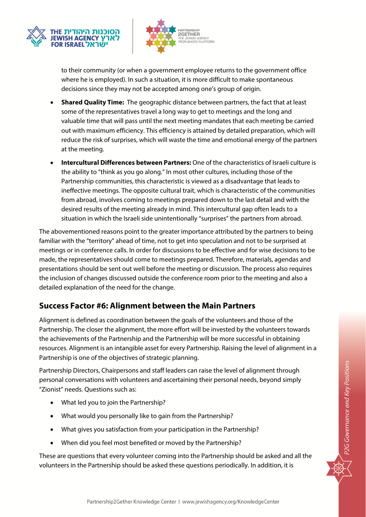



to their community (or when a government employee returns to the government office where he is employed). In such a situation, it is more difficult to make spontaneous decisions since they may not be accepted among one's group of origin.

- **Shared Quality Time:** The geographic distance between partners, the fact that at least some of the representatives travel a long way to get to meetings and the long and valuable time that will pass until the next meeting mandates that each meeting be carried out with maximum efficiency. This efficiency is attained by detailed preparation, which will reduce the risk of surprises, which will waste the time and emotional energy of the partners at the meeting.
- **Intercultural Differences between Partners:** One of the characteristics of Israeli culture is the ability to "think as you go along." In most other cultures, including those of the Partnership communities, this characteristic is viewed as a disadvantage that leads to ineffective meetings. The opposite cultural trait, which is characteristic of the communities from abroad, involves coming to meetings prepared down to the last detail and with the desired results of the meeting already in mind. This intercultural gap often leads to a situation in which the Israeli side unintentionally "surprises" the partners from abroad.

The abovementioned reasons point to the greater importance attributed by the partners to being familiar with the "territory" ahead of time, not to get into speculation and not to be surprised at meetings or in conference calls. In order for discussions to be effective and for wise decisions to be made, the representatives should come to meetings prepared. Therefore, materials, agendas and presentations should be sent out well before the meeting or discussion. The process also requires the inclusion of changes discussed outside the conference room prior to the meeting and also a detailed explanation of the need for the change.

# **Success Factor #6: Alignment between the Main Partners**

Alignment is defined as coordination between the goals of the volunteers and those of the Partnership. The closer the alignment, the more effort will be invested by the volunteers towards the achievements of the Partnership and the Partnership will be more successful in obtaining resources. Alignment is an intangible asset for every Partnership. Raising the level of alignment in a Partnership is one of the objectives of strategic planning.

Partnership Directors, Chairpersons and staff leaders can raise the level of alignment through personal conversations with volunteers and ascertaining their personal needs, beyond simply "Zionist" needs. Questions such as:

- What led you to join the Partnership?
- What would you personally like to gain from the Partnership?
- What gives you satisfaction from your participation in the Partnership?
- When did you feel most benefited or moved by the Partnership?

These are questions that every volunteer coming into the Partnership should be asked and all the volunteers in the Partnership should be asked these questions periodically. In addition, it is